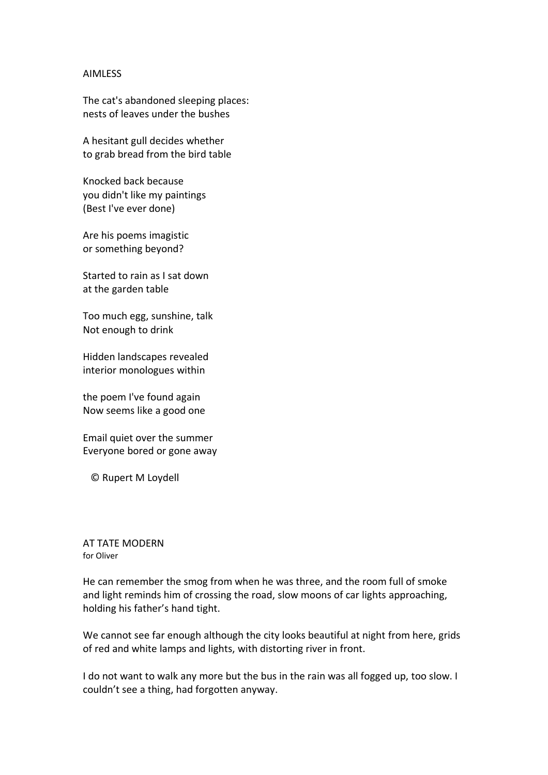## AIMLESS

The cat's abandoned sleeping places: nests of leaves under the bushes

A hesitant gull decides whether to grab bread from the bird table

Knocked back because you didn't like my paintings (Best I've ever done)

Are his poems imagistic or something beyond?

Started to rain as I sat down at the garden table

Too much egg, sunshine, talk Not enough to drink

Hidden landscapes revealed interior monologues within

the poem I've found again Now seems like a good one

Email quiet over the summer Everyone bored or gone away

© Rupert M Loydell

AT TATE MODERN for Oliver

He can remember the smog from when he was three, and the room full of smoke and light reminds him of crossing the road, slow moons of car lights approaching, holding his father's hand tight.

We cannot see far enough although the city looks beautiful at night from here, grids of red and white lamps and lights, with distorting river in front.

I do not want to walk any more but the bus in the rain was all fogged up, too slow. I couldn't see a thing, had forgotten anyway.